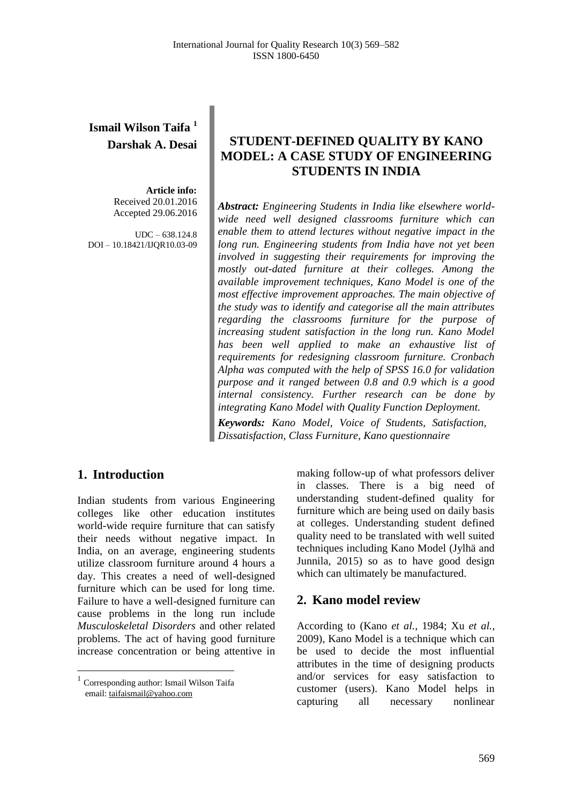# **Ismail Wilson Taifa <sup>1</sup> Darshak A. Desai**

**Article info:** Received 20.01.2016 Accepted 29.06.2016

 $IDC = 638.124.8$ DOI – 10.18421/IJQR10.03-09

## **STUDENT-DEFINED QUALITY BY KANO MODEL: A CASE STUDY OF ENGINEERING STUDENTS IN INDIA**

*Abstract: Engineering Students in India like elsewhere worldwide need well designed classrooms furniture which can enable them to attend lectures without negative impact in the long run. Engineering students from India have not yet been involved in suggesting their requirements for improving the mostly out-dated furniture at their colleges. Among the available improvement techniques, Kano Model is one of the most effective improvement approaches. The main objective of the study was to identify and categorise all the main attributes regarding the classrooms furniture for the purpose of increasing student satisfaction in the long run. Kano Model has been well applied to make an exhaustive list of requirements for redesigning classroom furniture. Cronbach Alpha was computed with the help of SPSS 16.0 for validation purpose and it ranged between 0.8 and 0.9 which is a good internal consistency. Further research can be done by integrating Kano Model with Quality Function Deployment.*

*Keywords: Kano Model, Voice of Students, Satisfaction, Dissatisfaction, Class Furniture, Kano questionnaire*

### **1. Introduction<sup>1</sup>**

Indian students from various Engineering colleges like other education institutes world-wide require furniture that can satisfy their needs without negative impact. In India, on an average, engineering students utilize classroom furniture around 4 hours a day. This creates a need of well-designed furniture which can be used for long time. Failure to have a well-designed furniture can cause problems in the long run include *Musculoskeletal Disorders* and other related problems. The act of having good furniture increase concentration or being attentive in

<sup>1</sup> Corresponding author: Ismail Wilson Taifa email[: taifaismail@yahoo.com](mailto:birhanu.beshah@aait.edu.et)

 $\overline{a}$ 

making follow-up of what professors deliver in classes. There is a big need of understanding student-defined quality for furniture which are being used on daily basis at colleges. Understanding student defined quality need to be translated with well suited techniques including Kano Model (Jylhä and Junnila, 2015) so as to have good design which can ultimately be manufactured.

### **2. Kano model review**

According to (Kano *et al.*, 1984; Xu *et al.*, 2009), Kano Model is a technique which can be used to decide the most influential attributes in the time of designing products and/or services for easy satisfaction to customer (users). Kano Model helps in capturing all necessary nonlinear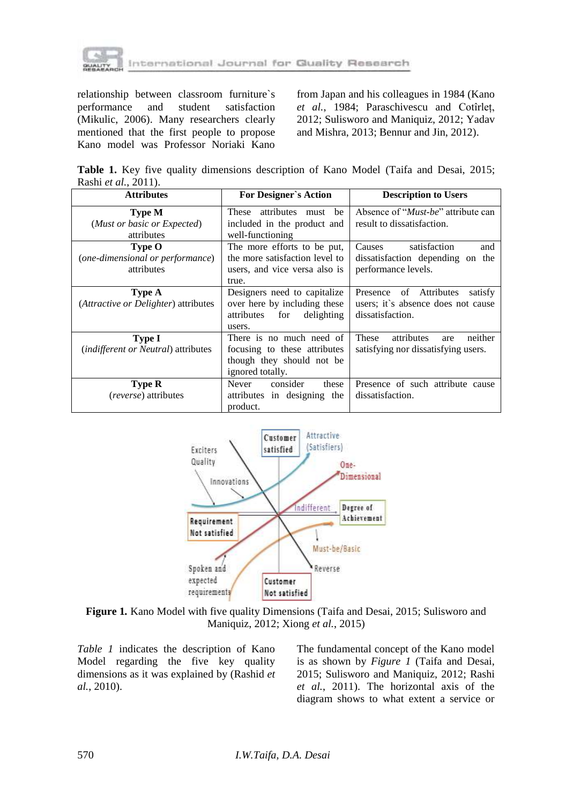

relationship between classroom furniture`s performance and student satisfaction (Mikulic, 2006). Many researchers clearly mentioned that the first people to propose Kano model was Professor Noriaki Kano

from Japan and his colleagues in 1984 (Kano *et al.*, 1984; Paraschivescu and Cotîrleț, 2012; Sulisworo and Maniquiz, 2012; Yadav and Mishra, 2013; Bennur and Jin, 2012).

**Table 1.** Key five quality dimensions description of Kano Model (Taifa and Desai, 2015; Rashi *et al.*, 2011).

| <b>Attributes</b>                                           | <b>For Designer's Action</b>                                                                              | <b>Description to Users</b>                                                                     |
|-------------------------------------------------------------|-----------------------------------------------------------------------------------------------------------|-------------------------------------------------------------------------------------------------|
| <b>Type M</b><br>(Must or basic or Expected)<br>attributes  | These attributes must be<br>included in the product and<br>well-functioning                               | Absence of " <i>Must-be</i> " attribute can<br>result to dissatisfaction.                       |
| Type O<br>(one-dimensional or performance)<br>attributes    | The more efforts to be put,<br>the more satisfaction level to<br>users, and vice versa also is<br>true.   | satisfaction<br><b>Causes</b><br>and<br>dissatisfaction depending on the<br>performance levels. |
| <b>Type A</b><br>(Attractive or Delighter) attributes       | Designers need to capitalize<br>over here by including these<br>delighting<br>attributes<br>for<br>users. | Presence of Attributes<br>satisfy<br>users; it's absence does not cause<br>dissatisfaction.     |
| <b>Type I</b><br><i>(indifferent or Neutral)</i> attributes | There is no much need of<br>focusing to these attributes<br>though they should not be<br>ignored totally. | These<br>attributes<br>neither<br>are<br>satisfying nor dissatisfying users.                    |
| <b>Type R</b><br>(reverse) attributes                       | consider<br>Never<br>these<br>attributes in designing the<br>product.                                     | Presence of such attribute cause<br>dissatisfaction.                                            |



**Figure 1***.* Kano Model with five quality Dimensions (Taifa and Desai, 2015; Sulisworo and Maniquiz, 2012; Xiong *et al.*, 2015)

*Table 1* indicates the description of Kano Model regarding the five key quality dimensions as it was explained by (Rashid *et al.*, 2010).

The fundamental concept of the Kano model is as shown by *Figure 1* (Taifa and Desai, 2015; Sulisworo and Maniquiz, 2012; Rashi *et al.*, 2011). The horizontal axis of the diagram shows to what extent a service or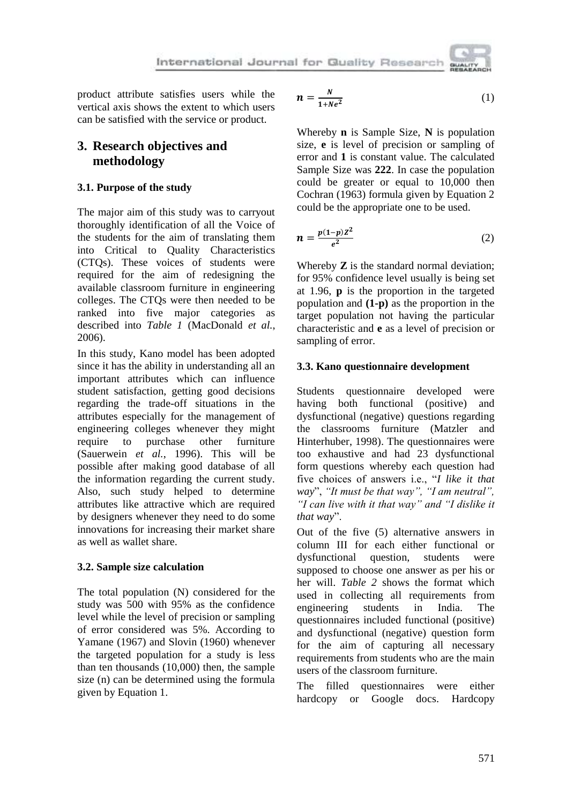product attribute satisfies users while the vertical axis shows the extent to which users can be satisfied with the service or product.

## **3. Research objectives and methodology**

### **3.1. Purpose of the study**

The major aim of this study was to carryout thoroughly identification of all the Voice of the students for the aim of translating them into Critical to Quality Characteristics (CTQs). These voices of students were required for the aim of redesigning the available classroom furniture in engineering colleges. The CTQs were then needed to be ranked into five major categories as described into *Table 1* (MacDonald *et al.*, 2006).

In this study, Kano model has been adopted since it has the ability in understanding all an important attributes which can influence student satisfaction, getting good decisions regarding the trade-off situations in the attributes especially for the management of engineering colleges whenever they might require to purchase other furniture (Sauerwein *et al.*, 1996). This will be possible after making good database of all the information regarding the current study. Also, such study helped to determine attributes like attractive which are required by designers whenever they need to do some innovations for increasing their market share as well as wallet share.

### **3.2. Sample size calculation**

The total population (N) considered for the study was 500 with 95% as the confidence level while the level of precision or sampling of error considered was 5%. According to Yamane (1967) and Slovin (1960) whenever the targeted population for a study is less than ten thousands (10,000) then, the sample size (n) can be determined using the formula given by Equation 1.

$$
n = \frac{N}{1 + Ne^2} \tag{1}
$$

Whereby **n** is Sample Size, **N** is population size, **e** is level of precision or sampling of error and **1** is constant value. The calculated Sample Size was **222**. In case the population could be greater or equal to 10,000 then Cochran (1963) formula given by Equation 2 could be the appropriate one to be used.

$$
n = \frac{p(1-p)Z^2}{e^2} \tag{2}
$$

Whereby **Z** is the standard normal deviation; for 95% confidence level usually is being set at 1.96, **p** is the proportion in the targeted population and **(1-p)** as the proportion in the target population not having the particular characteristic and **e** as a level of precision or sampling of error.

### **3.3. Kano questionnaire development**

Students questionnaire developed were having both functional (positive) and dysfunctional (negative) questions regarding the classrooms furniture (Matzler and Hinterhuber, 1998). The questionnaires were too exhaustive and had 23 dysfunctional form questions whereby each question had five choices of answers i.e., "*I like it that way*", *"It must be that way", "I am neutral", "I can live with it that way" and "I dislike it that way*".

Out of the five (5) alternative answers in column III for each either functional or dysfunctional question, students were supposed to choose one answer as per his or her will. *Table 2* shows the format which used in collecting all requirements from engineering students in India. The questionnaires included functional (positive) and dysfunctional (negative) question form for the aim of capturing all necessary requirements from students who are the main users of the classroom furniture.

The filled questionnaires were either hardcopy or Google docs. Hardcopy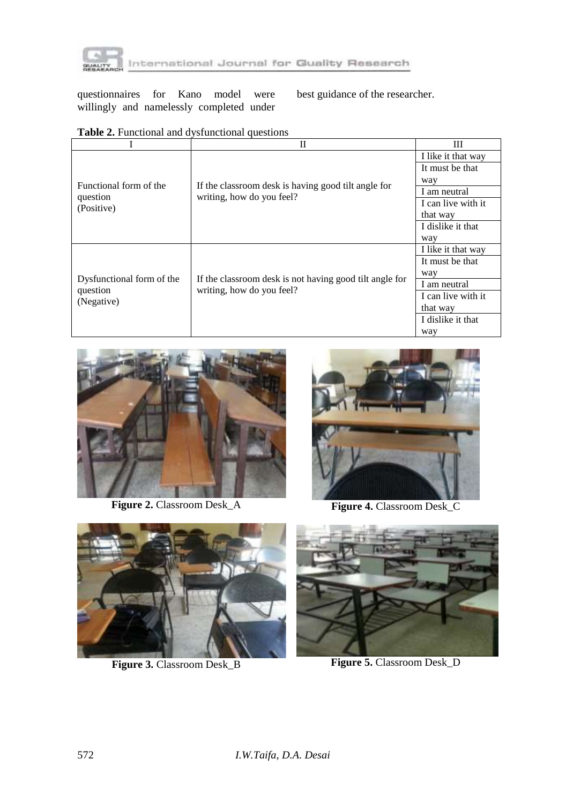

questionnaires for Kano model were willingly and namelessly completed under best guidance of the researcher.

|                                                     | Н                                                                                    | Ш                  |  |
|-----------------------------------------------------|--------------------------------------------------------------------------------------|--------------------|--|
|                                                     |                                                                                      | I like it that way |  |
|                                                     |                                                                                      | It must be that    |  |
| Functional form of the                              |                                                                                      | way                |  |
|                                                     | If the classroom desk is having good tilt angle for<br>writing, how do you feel?     | I am neutral       |  |
| question<br>(Positive)                              |                                                                                      | I can live with it |  |
|                                                     |                                                                                      | that way           |  |
|                                                     |                                                                                      | I dislike it that  |  |
|                                                     |                                                                                      | way                |  |
|                                                     |                                                                                      | I like it that way |  |
| Dysfunctional form of the<br>question<br>(Negative) |                                                                                      | It must be that    |  |
|                                                     |                                                                                      | way                |  |
|                                                     | If the classroom desk is not having good tilt angle for<br>writing, how do you feel? | I am neutral       |  |
|                                                     |                                                                                      | I can live with it |  |
|                                                     |                                                                                      | that way           |  |
|                                                     |                                                                                      | I dislike it that  |  |
|                                                     |                                                                                      | way                |  |

## **Table 2.** Functional and dysfunctional questions



**Figure 2.** Classroom Desk\_A



Figure 4. Classroom Desk\_C



**Figure 3. Classroom Desk\_B** 



**Figure 5.** Classroom Desk\_D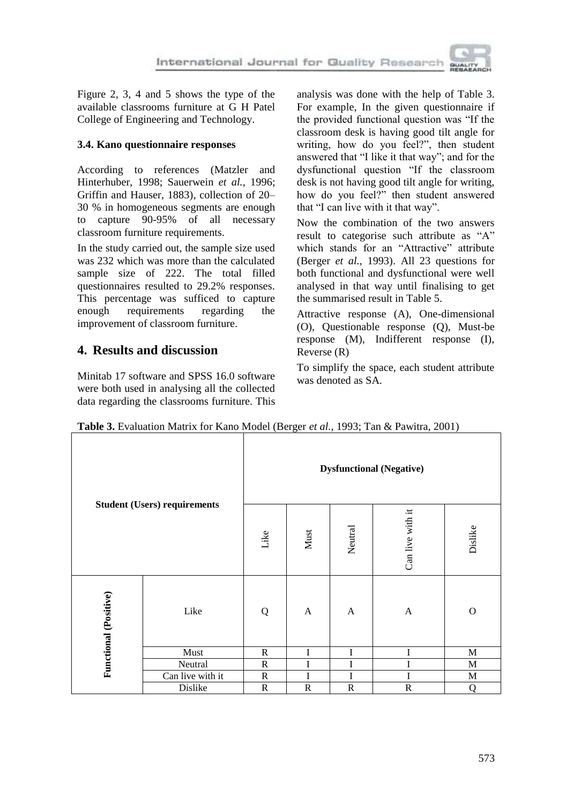

Figure 2, 3, 4 and 5 shows the type of the available classrooms furniture at G H Patel College of Engineering and Technology.

### **3.4. Kano questionnaire responses**

According to references (Matzler and Hinterhuber, 1998; Sauerwein *et al.*, 1996; Griffin and Hauser, 1883), collection of 20– 30 % in homogeneous segments are enough to capture 90-95% of all necessary classroom furniture requirements.

In the study carried out, the sample size used was 232 which was more than the calculated sample size of 222. The total filled questionnaires resulted to 29.2% responses. This percentage was sufficed to capture enough requirements regarding the improvement of classroom furniture.

### **4. Results and discussion**

Minitab 17 software and SPSS 16.0 software were both used in analysing all the collected data regarding the classrooms furniture. This

analysis was done with the help of Table 3. For example, In the given questionnaire if the provided functional question was "If the classroom desk is having good tilt angle for writing, how do you feel?", then student answered that "I like it that way"; and for the dysfunctional question "If the classroom desk is not having good tilt angle for writing, how do you feel?" then student answered that "I can live with it that way".

Now the combination of the two answers result to categorise such attribute as "A" which stands for an "Attractive" attribute (Berger *et al.*, 1993). All 23 questions for both functional and dysfunctional were well analysed in that way until finalising to get the summarised result in Table 5.

Attractive response (A), One-dimensional (O), Questionable response (Q), Must-be response (M), Indifferent response (I), Reverse (R)

To simplify the space, each student attribute was denoted as SA.

| <b>Student (Users) requirements</b> |                  | <b>Dysfunctional (Negative)</b> |              |              |                  |          |  |
|-------------------------------------|------------------|---------------------------------|--------------|--------------|------------------|----------|--|
|                                     |                  | Like                            | Must         | Neutral      | Can live with it | Dislike  |  |
| Functional (Positive)               | Like             | Q                               | $\mathbf{A}$ | $\mathbf{A}$ | A                | $\Omega$ |  |
|                                     | Must             | $\mathbb{R}$                    | Ī            | $\bf I$      | I                | M        |  |
|                                     | Neutral          | $\mathbb{R}$                    | I            | I            | I                | M        |  |
|                                     | Can live with it | R                               | I            | I            | I                | M        |  |
|                                     | Dislike          | ${\bf R}$                       | $\mathbb{R}$ | $\mathbf R$  | ${\bf R}$        | Q        |  |

**Table 3.** Evaluation Matrix for Kano Model (Berger *et al.*, 1993; Tan & Pawitra, 2001)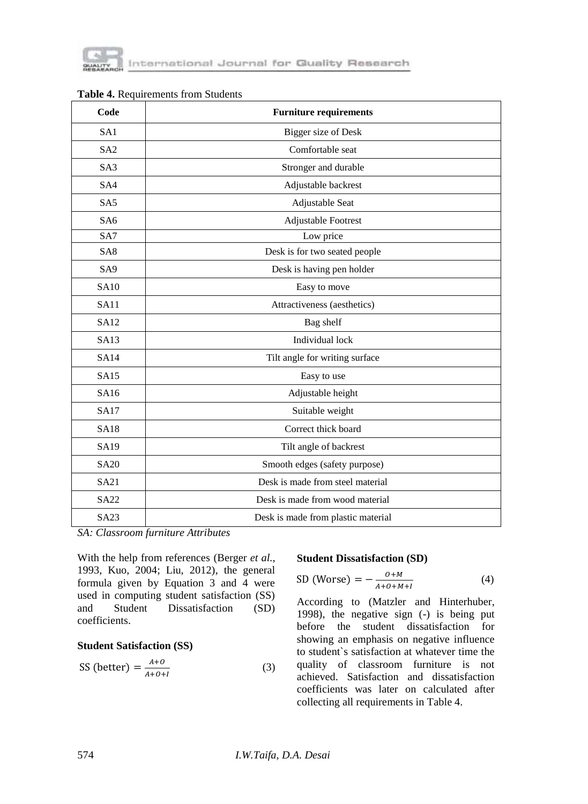

| Code            | <b>Furniture requirements</b>      |
|-----------------|------------------------------------|
| SA1             | Bigger size of Desk                |
| SA <sub>2</sub> | Comfortable seat                   |
| S <sub>A3</sub> | Stronger and durable               |
| SA4             | Adjustable backrest                |
| SA <sub>5</sub> | Adjustable Seat                    |
| SA <sub>6</sub> | Adjustable Footrest                |
| SA7             | Low price                          |
| SA8             | Desk is for two seated people      |
| SA <sub>9</sub> | Desk is having pen holder          |
| <b>SA10</b>     | Easy to move                       |
| <b>SA11</b>     | Attractiveness (aesthetics)        |
| <b>SA12</b>     | Bag shelf                          |
| <b>SA13</b>     | Individual lock                    |
| <b>SA14</b>     | Tilt angle for writing surface     |
| SA15            | Easy to use                        |
| SA16            | Adjustable height                  |
| <b>SA17</b>     | Suitable weight                    |
| <b>SA18</b>     | Correct thick board                |
| SA19            | Tilt angle of backrest             |
| <b>SA20</b>     | Smooth edges (safety purpose)      |
| <b>SA21</b>     | Desk is made from steel material   |
| SA22            | Desk is made from wood material    |
| <b>SA23</b>     | Desk is made from plastic material |

| Table 4. Requirements from Students |  |  |
|-------------------------------------|--|--|
|-------------------------------------|--|--|

*SA: Classroom furniture Attributes*

With the help from references (Berger *et al.*, 1993, Kuo, 2004; Liu, 2012), the general formula given by Equation 3 and 4 were used in computing student satisfaction (SS) and Student Dissatisfaction (SD) coefficients.

#### **Student Satisfaction (SS)**

$$
SS (better) = \frac{A+O}{A+O+I}
$$
 (3)

#### **Student Dissatisfaction (SD)**

$$
SD (Worse) = -\frac{O+M}{A+O+M+I}
$$
 (4)

According to (Matzler and Hinterhuber, 1998), the negative sign (-) is being put before the student dissatisfaction for showing an emphasis on negative influence to student`s satisfaction at whatever time the quality of classroom furniture is not achieved. Satisfaction and dissatisfaction coefficients was later on calculated after collecting all requirements in Table 4.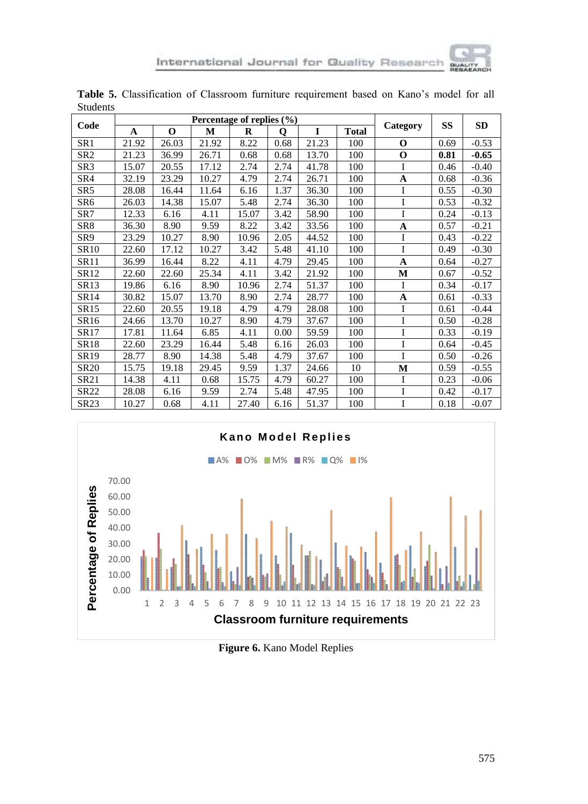|                  | Percentage of replies $(\% )$ |       |       |          |      |       |              |             |      |           |
|------------------|-------------------------------|-------|-------|----------|------|-------|--------------|-------------|------|-----------|
| Code             | A                             | O     | M     | $\bf{R}$ | 0    | I     | <b>Total</b> | Category    | SS   | <b>SD</b> |
| SR1              | 21.92                         | 26.03 | 21.92 | 8.22     | 0.68 | 21.23 | 100          | $\Omega$    | 0.69 | $-0.53$   |
| SR <sub>2</sub>  | 21.23                         | 36.99 | 26.71 | 0.68     | 0.68 | 13.70 | 100          | O           | 0.81 | $-0.65$   |
| SR3              | 15.07                         | 20.55 | 17.12 | 2.74     | 2.74 | 41.78 | 100          | I           | 0.46 | $-0.40$   |
| SR4              | 32.19                         | 23.29 | 10.27 | 4.79     | 2.74 | 26.71 | 100          | A           | 0.68 | $-0.36$   |
| SR <sub>5</sub>  | 28.08                         | 16.44 | 11.64 | 6.16     | 1.37 | 36.30 | 100          | I           | 0.55 | $-0.30$   |
| SR <sub>6</sub>  | 26.03                         | 14.38 | 15.07 | 5.48     | 2.74 | 36.30 | 100          | I           | 0.53 | $-0.32$   |
| SR7              | 12.33                         | 6.16  | 4.11  | 15.07    | 3.42 | 58.90 | 100          | I           | 0.24 | $-0.13$   |
| SR8              | 36.30                         | 8.90  | 9.59  | 8.22     | 3.42 | 33.56 | 100          | A           | 0.57 | $-0.21$   |
| SR9              | 23.29                         | 10.27 | 8.90  | 10.96    | 2.05 | 44.52 | 100          | I           | 0.43 | $-0.22$   |
| SR10             | 22.60                         | 17.12 | 10.27 | 3.42     | 5.48 | 41.10 | 100          | I           | 0.49 | $-0.30$   |
| <b>SR11</b>      | 36.99                         | 16.44 | 8.22  | 4.11     | 4.79 | 29.45 | 100          | A           | 0.64 | $-0.27$   |
| SR12             | 22.60                         | 22.60 | 25.34 | 4.11     | 3.42 | 21.92 | 100          | M           | 0.67 | $-0.52$   |
| SR13             | 19.86                         | 6.16  | 8.90  | 10.96    | 2.74 | 51.37 | 100          | $\mathbf I$ | 0.34 | $-0.17$   |
| SR14             | 30.82                         | 15.07 | 13.70 | 8.90     | 2.74 | 28.77 | 100          | A           | 0.61 | $-0.33$   |
| SR <sub>15</sub> | 22.60                         | 20.55 | 19.18 | 4.79     | 4.79 | 28.08 | 100          | I           | 0.61 | $-0.44$   |
| SR16             | 24.66                         | 13.70 | 10.27 | 8.90     | 4.79 | 37.67 | 100          | I           | 0.50 | $-0.28$   |
| SR17             | 17.81                         | 11.64 | 6.85  | 4.11     | 0.00 | 59.59 | 100          | I           | 0.33 | $-0.19$   |
| SR18             | 22.60                         | 23.29 | 16.44 | 5.48     | 6.16 | 26.03 | 100          | I           | 0.64 | $-0.45$   |
| SR19             | 28.77                         | 8.90  | 14.38 | 5.48     | 4.79 | 37.67 | 100          | I           | 0.50 | $-0.26$   |
| <b>SR20</b>      | 15.75                         | 19.18 | 29.45 | 9.59     | 1.37 | 24.66 | 10           | M           | 0.59 | $-0.55$   |
| SR21             | 14.38                         | 4.11  | 0.68  | 15.75    | 4.79 | 60.27 | 100          | Ι           | 0.23 | $-0.06$   |
| SR22             | 28.08                         | 6.16  | 9.59  | 2.74     | 5.48 | 47.95 | 100          | I           | 0.42 | $-0.17$   |
| SR23             | 10.27                         | 0.68  | 4.11  | 27.40    | 6.16 | 51.37 | 100          | I           | 0.18 | $-0.07$   |

**Table 5.** Classification of Classroom furniture requirement based on Kano's model for all Students



**Figure 6.** Kano Model Replies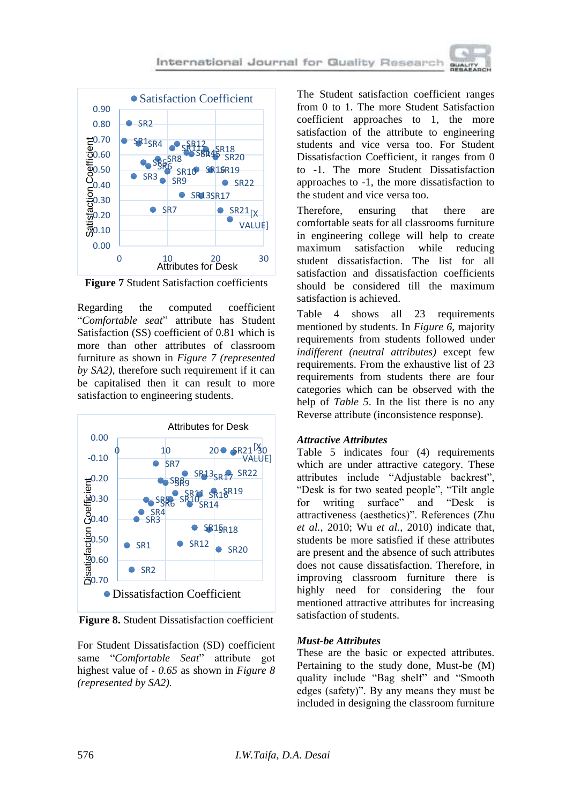

**Figure 7** Student Satisfaction coefficients

Regarding the computed coefficient "*Comfortable seat*" attribute has Student Satisfaction (SS) coefficient of 0.81 which is more than other attributes of classroom furniture as shown in *Figure 7 (represented by SA2)*, therefore such requirement if it can be capitalised then it can result to more satisfaction to engineering students.



**Figure 8.** Student Dissatisfaction coefficient

For Student Dissatisfaction (SD) coefficient same "*Comfortable Seat*" attribute got highest value of *- 0.65* as shown in *Figure 8 (represented by SA2).*

The Student satisfaction coefficient ranges from 0 to 1. The more Student Satisfaction coefficient approaches to 1, the more satisfaction of the attribute to engineering students and vice versa too. For Student Dissatisfaction Coefficient, it ranges from 0 to -1. The more Student Dissatisfaction approaches to -1, the more dissatisfaction to the student and vice versa too.

Therefore, ensuring that there are comfortable seats for all classrooms furniture in engineering college will help to create maximum satisfaction while reducing student dissatisfaction. The list for all satisfaction and dissatisfaction coefficients should be considered till the maximum satisfaction is achieved.

Table 4 shows all 23 requirements mentioned by students. In *Figure 6,* majority requirements from students followed under *indifferent (neutral attributes)* except few requirements. From the exhaustive list of 23 requirements from students there are four categories which can be observed with the help of *Table 5*. In the list there is no any Reverse attribute (inconsistence response).

#### *Attractive Attributes*

Table 5 indicates four (4) requirements which are under attractive category. These attributes include "Adjustable backrest", "Desk is for two seated people", "Tilt angle for writing surface" and "Desk is attractiveness (aesthetics)". References (Zhu *et al.*, 2010; Wu *et al.*, 2010) indicate that, students be more satisfied if these attributes are present and the absence of such attributes does not cause dissatisfaction. Therefore, in improving classroom furniture there is highly need for considering the four mentioned attractive attributes for increasing satisfaction of students.

#### *Must-be Attributes*

These are the basic or expected attributes. Pertaining to the study done, Must-be (M) quality include "Bag shelf" and "Smooth edges (safety)". By any means they must be included in designing the classroom furniture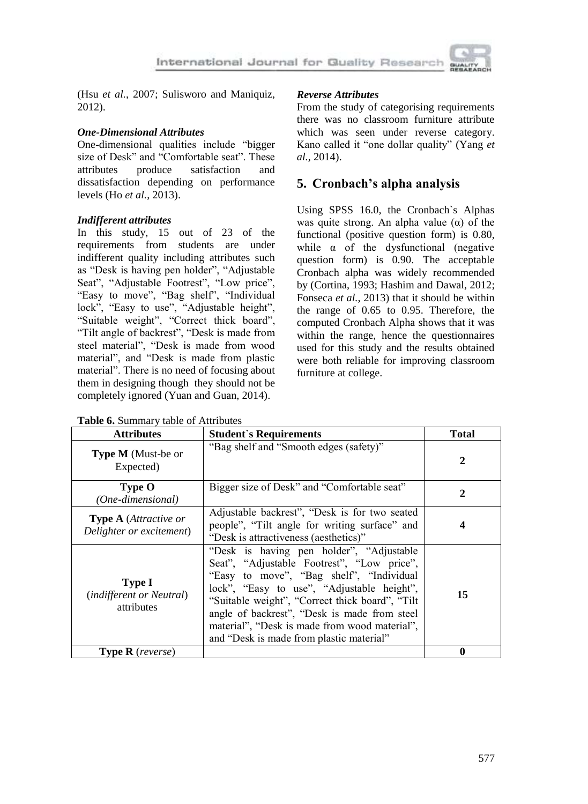(Hsu *et al.*, 2007; Sulisworo and Maniquiz, 2012).

### *One-Dimensional Attributes*

One-dimensional qualities include "bigger size of Desk" and "Comfortable seat". These attributes produce satisfaction and dissatisfaction depending on performance levels (Ho *et al.*, 2013).

#### *Indifferent attributes*

In this study, 15 out of 23 of the requirements from students are under indifferent quality including attributes such as "Desk is having pen holder", "Adjustable Seat", "Adjustable Footrest", "Low price", "Easy to move", "Bag shelf", "Individual lock", "Easy to use", "Adjustable height", "Suitable weight", "Correct thick board", "Tilt angle of backrest", "Desk is made from steel material", "Desk is made from wood material", and "Desk is made from plastic material". There is no need of focusing about them in designing though they should not be completely ignored (Yuan and Guan, 2014).

**Table 6.** Summary table of Attributes

## *Reverse Attributes*

From the study of categorising requirements there was no classroom furniture attribute which was seen under reverse category. Kano called it "one dollar quality" (Yang *et al.*, 2014).

## **5. Cronbach's alpha analysis**

Using SPSS 16.0, the Cronbach`s Alphas was quite strong. An alpha value  $(\alpha)$  of the functional (positive question form) is 0.80, while  $\alpha$  of the dysfunctional (negative question form) is 0.90. The acceptable Cronbach alpha was widely recommended by (Cortina, 1993; Hashim and Dawal, 2012; Fonseca *et al.*, 2013) that it should be within the range of 0.65 to 0.95. Therefore, the computed Cronbach Alpha shows that it was within the range, hence the questionnaires used for this study and the results obtained were both reliable for improving classroom furniture at college.

| <b>Attributes</b>                                              | <b>Student's Requirements</b>                                                                                                                                                                                                                                                                                                                                                    | <b>Total</b> |
|----------------------------------------------------------------|----------------------------------------------------------------------------------------------------------------------------------------------------------------------------------------------------------------------------------------------------------------------------------------------------------------------------------------------------------------------------------|--------------|
| Type M (Must-be or<br>Expected)                                | "Bag shelf and "Smooth edges (safety)"                                                                                                                                                                                                                                                                                                                                           | $\mathbf 2$  |
| Type O<br>(One-dimensional)                                    | Bigger size of Desk" and "Comfortable seat"                                                                                                                                                                                                                                                                                                                                      | $\mathbf{2}$ |
| <b>Type A</b> (Attractive or<br>Delighter or excitement)       | Adjustable backrest", "Desk is for two seated<br>people", "Tilt angle for writing surface" and<br>"Desk is attractiveness (aesthetics)"                                                                                                                                                                                                                                          | 4            |
| <b>Type I</b><br><i>(indifferent or Neutral)</i><br>attributes | "Desk is having pen holder", "Adjustable<br>Seat", "Adjustable Footrest", "Low price",<br>"Easy to move", "Bag shelf", "Individual<br>lock", "Easy to use", "Adjustable height",<br>"Suitable weight", "Correct thick board", "Tilt<br>angle of backrest", "Desk is made from steel<br>material", "Desk is made from wood material",<br>and "Desk is made from plastic material" | 15           |
| <b>Type R</b> (reverse)                                        |                                                                                                                                                                                                                                                                                                                                                                                  | 0            |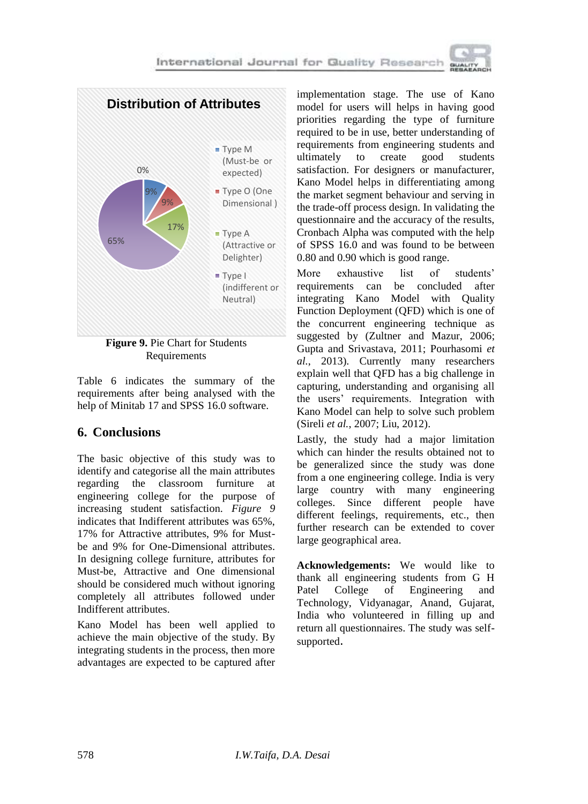

**Figure 9.** Pie Chart for Students Requirements

Table 6 indicates the summary of the requirements after being analysed with the help of Minitab 17 and SPSS 16.0 software.

## **6. Conclusions**

The basic objective of this study was to identify and categorise all the main attributes regarding the classroom furniture at engineering college for the purpose of increasing student satisfaction. *Figure 9* indicates that Indifferent attributes was 65%, 17% for Attractive attributes, 9% for Mustbe and 9% for One-Dimensional attributes. In designing college furniture, attributes for Must-be, Attractive and One dimensional should be considered much without ignoring completely all attributes followed under Indifferent attributes.

Kano Model has been well applied to achieve the main objective of the study. By integrating students in the process, then more advantages are expected to be captured after

implementation stage. The use of Kano model for users will helps in having good priorities regarding the type of furniture required to be in use, better understanding of requirements from engineering students and ultimately to create good students satisfaction. For designers or manufacturer, Kano Model helps in differentiating among the market segment behaviour and serving in the trade-off process design. In validating the questionnaire and the accuracy of the results, Cronbach Alpha was computed with the help of SPSS 16.0 and was found to be between 0.80 and 0.90 which is good range.

More exhaustive list of students' requirements can be concluded after integrating Kano Model with Quality Function Deployment (QFD) which is one of the concurrent engineering technique as suggested by (Zultner and Mazur, 2006; Gupta and Srivastava, 2011; Pourhasomi *et al.*, 2013). Currently many researchers explain well that QFD has a big challenge in capturing, understanding and organising all the users' requirements. Integration with Kano Model can help to solve such problem (Sireli *et al.*, 2007; Liu, 2012).

Lastly, the study had a major limitation which can hinder the results obtained not to be generalized since the study was done from a one engineering college. India is very large country with many engineering colleges. Since different people have different feelings, requirements, etc., then further research can be extended to cover large geographical area.

**Acknowledgements:** We would like to thank all engineering students from G H Patel College of Engineering and Technology, Vidyanagar, Anand, Gujarat, India who volunteered in filling up and return all questionnaires. The study was selfsupported.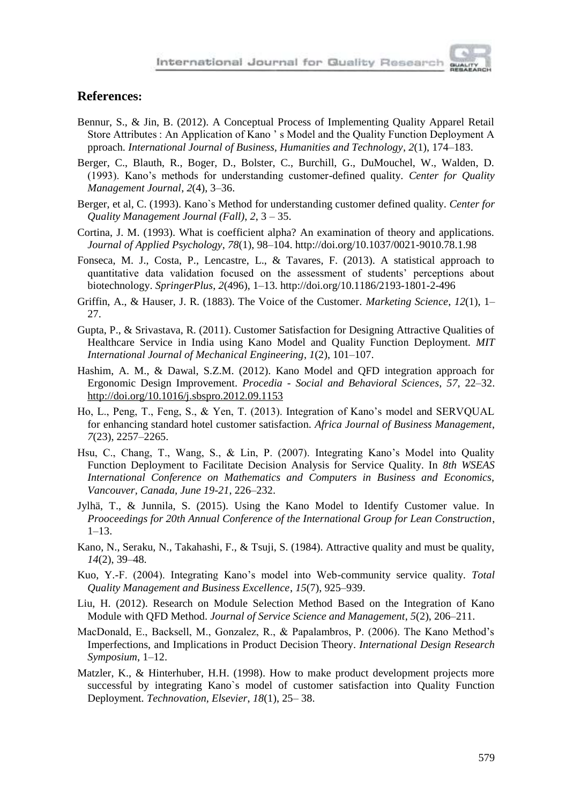

#### **References:**

- Bennur, S., & Jin, B. (2012). A Conceptual Process of Implementing Quality Apparel Retail Store Attributes : An Application of Kano ' s Model and the Quality Function Deployment A pproach. *International Journal of Business, Humanities and Technology*, *2*(1), 174–183.
- Berger, C., Blauth, R., Boger, D., Bolster, C., Burchill, G., DuMouchel, W., Walden, D. (1993). Kano's methods for understanding customer-defined quality. *Center for Quality Management Journal*, *2*(4), 3–36.
- Berger, et al, C. (1993). Kano`s Method for understanding customer defined quality. *Center for Quality Management Journal (Fall)*, *2*, 3 – 35.
- Cortina, J. M. (1993). What is coefficient alpha? An examination of theory and applications. *Journal of Applied Psychology*, *78*(1), 98–104. http://doi.org/10.1037/0021-9010.78.1.98
- Fonseca, M. J., Costa, P., Lencastre, L., & Tavares, F. (2013). A statistical approach to quantitative data validation focused on the assessment of students' perceptions about biotechnology. *SpringerPlus*, *2*(496), 1–13. http://doi.org/10.1186/2193-1801-2-496
- Griffin, A., & Hauser, J. R. (1883). The Voice of the Customer. *Marketing Science*, *12*(1), 1– 27.
- Gupta, P., & Srivastava, R. (2011). Customer Satisfaction for Designing Attractive Qualities of Healthcare Service in India using Kano Model and Quality Function Deployment. *MIT International Journal of Mechanical Engineering*, *1*(2), 101–107.
- Hashim, A. M., & Dawal, S.Z.M. (2012). Kano Model and QFD integration approach for Ergonomic Design Improvement. *Procedia - Social and Behavioral Sciences*, *57*, 22–32. http://doi.org/10.1016/j.sbspro.2012.09.1153
- Ho, L., Peng, T., Feng, S., & Yen, T. (2013). Integration of Kano's model and SERVQUAL for enhancing standard hotel customer satisfaction. *Africa Journal of Business Management*, *7*(23), 2257–2265.
- Hsu, C., Chang, T., Wang, S., & Lin, P. (2007). Integrating Kano's Model into Quality Function Deployment to Facilitate Decision Analysis for Service Quality. In *8th WSEAS International Conference on Mathematics and Computers in Business and Economics, Vancouver, Canada, June 19-21*, 226–232.
- Jylhä, T., & Junnila, S. (2015). Using the Kano Model to Identify Customer value. In *Prooceedings for 20th Annual Conference of the International Group for Lean Construction*, 1–13.
- Kano, N., Seraku, N., Takahashi, F., & Tsuji, S. (1984). Attractive quality and must be quality, *14*(2), 39–48.
- Kuo, Y.-F. (2004). Integrating Kano's model into Web-community service quality. *Total Quality Management and Business Excellence*, *15*(7), 925–939.
- Liu, H. (2012). Research on Module Selection Method Based on the Integration of Kano Module with QFD Method. *Journal of Service Science and Management*, *5*(2), 206–211.
- MacDonald, E., Backsell, M., Gonzalez, R., & Papalambros, P. (2006). The Kano Method's Imperfections, and Implications in Product Decision Theory. *International Design Research Symposium*, 1–12.
- Matzler, K., & Hinterhuber, H.H. (1998). How to make product development projects more successful by integrating Kano`s model of customer satisfaction into Quality Function Deployment. *Technovation, Elsevier*, *18*(1), 25– 38.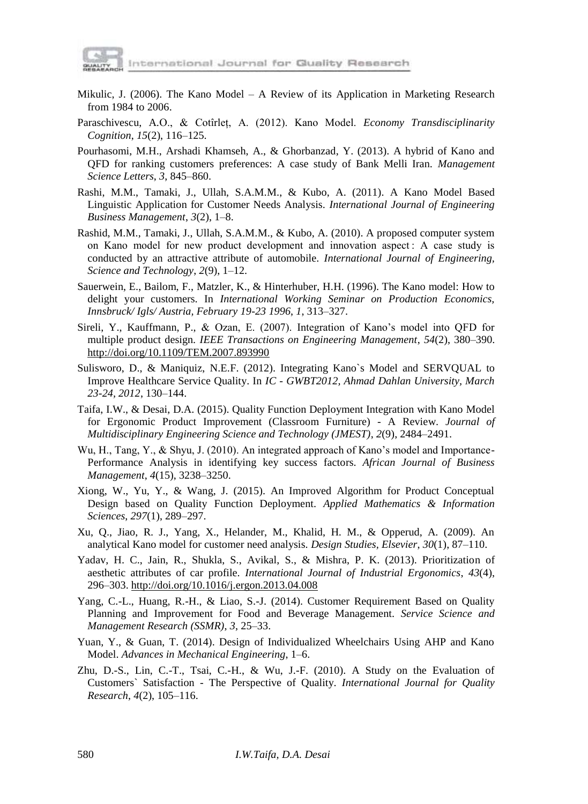

- Mikulic, J. (2006). The Kano Model A Review of its Application in Marketing Research from 1984 to 2006.
- Paraschivescu, A.O., & Cotîrleț, A. (2012). Kano Model. *Economy Transdisciplinarity Cognition*, *15*(2), 116–125.
- Pourhasomi, M.H., Arshadi Khamseh, A., & Ghorbanzad, Y. (2013). A hybrid of Kano and QFD for ranking customers preferences: A case study of Bank Melli Iran. *Management Science Letters*, *3*, 845–860.
- Rashi, M.M., Tamaki, J., Ullah, S.A.M.M., & Kubo, A. (2011). A Kano Model Based Linguistic Application for Customer Needs Analysis. *International Journal of Engineering Business Management*, *3*(2), 1–8.
- Rashid, M.M., Tamaki, J., Ullah, S.A.M.M., & Kubo, A. (2010). A proposed computer system on Kano model for new product development and innovation aspect : A case study is conducted by an attractive attribute of automobile. *International Journal of Engineering, Science and Technology*, *2*(9), 1–12.
- Sauerwein, E., Bailom, F., Matzler, K., & Hinterhuber, H.H. (1996). The Kano model: How to delight your customers. In *International Working Seminar on Production Economics, Innsbruck/ Igls/ Austria, February 19-23 1996*, *1*, 313–327.
- Sireli, Y., Kauffmann, P., & Ozan, E. (2007). Integration of Kano's model into QFD for multiple product design. *IEEE Transactions on Engineering Management*, *54*(2), 380–390. http://doi.org/10.1109/TEM.2007.893990
- Sulisworo, D., & Maniquiz, N.E.F. (2012). Integrating Kano`s Model and SERVQUAL to Improve Healthcare Service Quality. In *IC - GWBT2012, Ahmad Dahlan University, March 23-24, 2012*, 130–144.
- Taifa, I.W., & Desai, D.A. (2015). Quality Function Deployment Integration with Kano Model for Ergonomic Product Improvement (Classroom Furniture) - A Review. *Journal of Multidisciplinary Engineering Science and Technology (JMEST)*, *2*(9), 2484–2491.
- Wu, H., Tang, Y., & Shyu, J. (2010). An integrated approach of Kano's model and Importance-Performance Analysis in identifying key success factors. *African Journal of Business Management*, *4*(15), 3238–3250.
- Xiong, W., Yu, Y., & Wang, J. (2015). An Improved Algorithm for Product Conceptual Design based on Quality Function Deployment. *Applied Mathematics & Information Sciences*, *297*(1), 289–297.
- Xu, Q., Jiao, R. J., Yang, X., Helander, M., Khalid, H. M., & Opperud, A. (2009). An analytical Kano model for customer need analysis. *Design Studies, Elsevier*, *30*(1), 87–110.
- Yadav, H. C., Jain, R., Shukla, S., Avikal, S., & Mishra, P. K. (2013). Prioritization of aesthetic attributes of car profile. *International Journal of Industrial Ergonomics*, *43*(4), 296–303. http://doi.org/10.1016/j.ergon.2013.04.008
- Yang, C.-L., Huang, R.-H., & Liao, S.-J. (2014). Customer Requirement Based on Quality Planning and Improvement for Food and Beverage Management. *Service Science and Management Research (SSMR)*, *3*, 25–33.
- Yuan, Y., & Guan, T. (2014). Design of Individualized Wheelchairs Using AHP and Kano Model. *Advances in Mechanical Engineering*, 1–6.
- Zhu, D.-S., Lin, C.-T., Tsai, C.-H., & Wu, J.-F. (2010). A Study on the Evaluation of Customers` Satisfaction - The Perspective of Quality. *International Journal for Quality Research*, *4*(2), 105–116.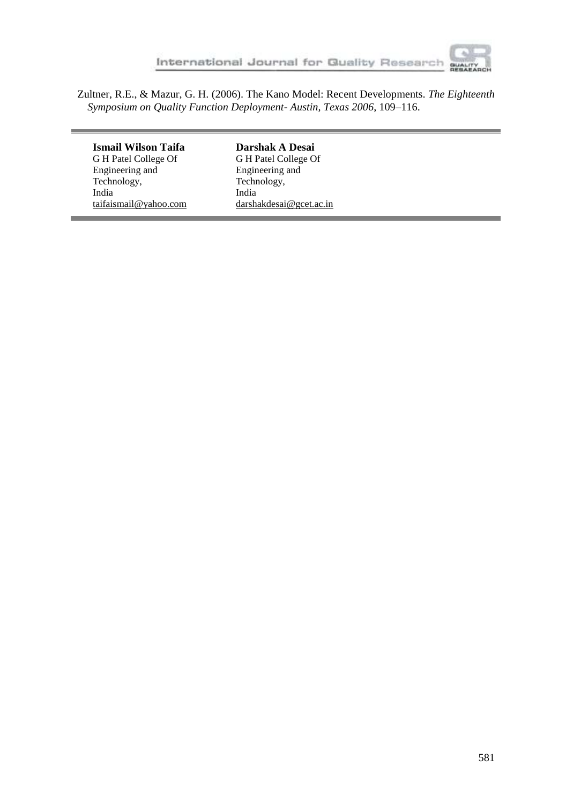

and the state of the state of

Zultner, R.E., & Mazur, G. H. (2006). The Kano Model: Recent Developments. *The Eighteenth Symposium on Quality Function Deployment- Austin, Texas 2006*, 109–116.

| Ismail Wilson Taifa   | Darshak A Desai          |
|-----------------------|--------------------------|
| G H Patel College Of  | G H Patel College Of     |
| Engineering and       | Engineering and          |
| Technology,           | Technology,              |
| India                 | India                    |
| taifaismail@yahoo.com | darshakdesai@g cet.ac.in |
|                       |                          |